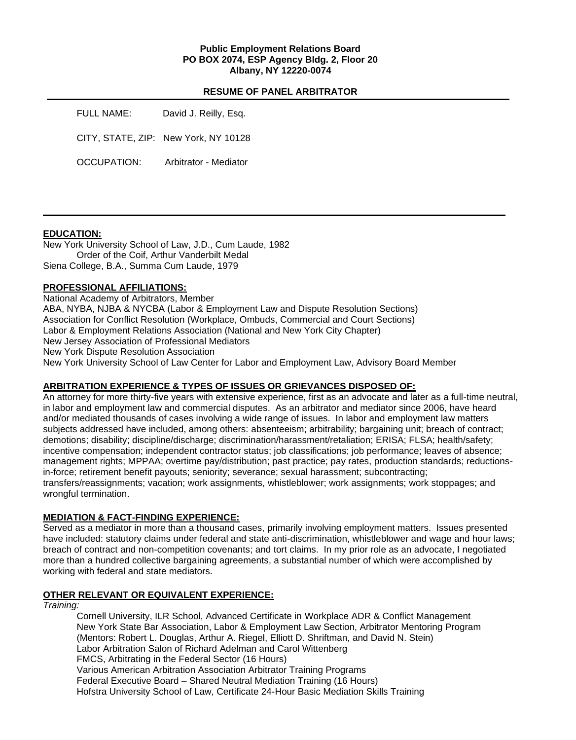### **Public Employment Relations Board PO BOX 2074, ESP Agency Bldg. 2, Floor 20 Albany, NY 12220-0074**

## **RESUME OF PANEL ARBITRATOR**

| FULL NAME:         | David J. Reilly, Esq.                |
|--------------------|--------------------------------------|
|                    | CITY, STATE, ZIP: New York, NY 10128 |
| <b>OCCUPATION:</b> | Arbitrator - Mediator                |

### **EDUCATION:**

New York University School of Law, J.D., Cum Laude, 1982 Order of the Coif, Arthur Vanderbilt Medal Siena College, B.A., Summa Cum Laude, 1979

### **PROFESSIONAL AFFILIATIONS:**

National Academy of Arbitrators, Member ABA, NYBA, NJBA & NYCBA (Labor & Employment Law and Dispute Resolution Sections) Association for Conflict Resolution (Workplace, Ombuds, Commercial and Court Sections) Labor & Employment Relations Association (National and New York City Chapter) New Jersey Association of Professional Mediators New York Dispute Resolution Association New York University School of Law Center for Labor and Employment Law, Advisory Board Member

### **ARBITRATION EXPERIENCE & TYPES OF ISSUES OR GRIEVANCES DISPOSED OF:**

An attorney for more thirty-five years with extensive experience, first as an advocate and later as a full-time neutral, in labor and employment law and commercial disputes. As an arbitrator and mediator since 2006, have heard and/or mediated thousands of cases involving a wide range of issues. In labor and employment law matters subjects addressed have included, among others: absenteeism; arbitrability; bargaining unit; breach of contract; demotions; disability; discipline/discharge; discrimination/harassment/retaliation; ERISA; FLSA; health/safety; incentive compensation; independent contractor status; job classifications; job performance; leaves of absence; management rights; MPPAA; overtime pay/distribution; past practice; pay rates, production standards; reductionsin-force; retirement benefit payouts; seniority; severance; sexual harassment; subcontracting; transfers/reassignments; vacation; work assignments, whistleblower; work assignments; work stoppages; and wrongful termination.

#### **MEDIATION & FACT-FINDING EXPERIENCE:**

Served as a mediator in more than a thousand cases, primarily involving employment matters. Issues presented have included: statutory claims under federal and state anti-discrimination, whistleblower and wage and hour laws; breach of contract and non-competition covenants; and tort claims. In my prior role as an advocate, I negotiated more than a hundred collective bargaining agreements, a substantial number of which were accomplished by working with federal and state mediators.

#### **OTHER RELEVANT OR EQUIVALENT EXPERIENCE:**

*Training:*

Cornell University, ILR School, Advanced Certificate in Workplace ADR & Conflict Management New York State Bar Association, Labor & Employment Law Section, Arbitrator Mentoring Program (Mentors: Robert L. Douglas, Arthur A. Riegel, Elliott D. Shriftman, and David N. Stein) Labor Arbitration Salon of Richard Adelman and Carol Wittenberg FMCS, Arbitrating in the Federal Sector (16 Hours) Various American Arbitration Association Arbitrator Training Programs Federal Executive Board – Shared Neutral Mediation Training (16 Hours) Hofstra University School of Law, Certificate 24-Hour Basic Mediation Skills Training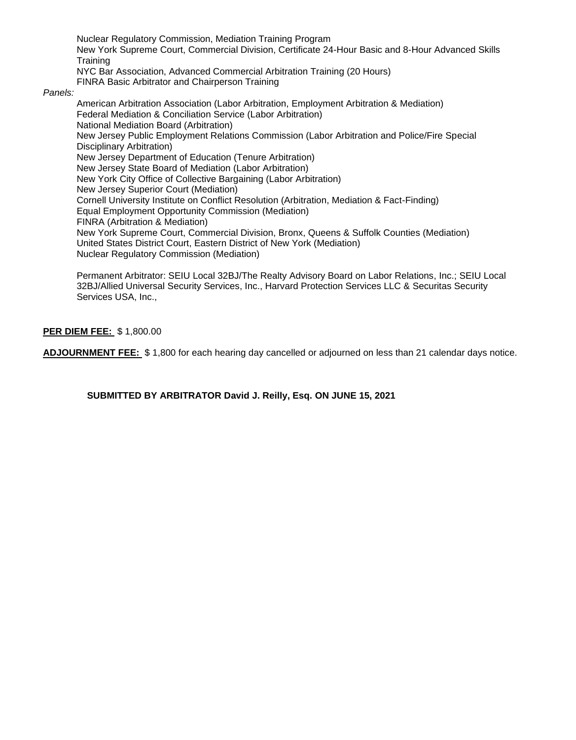Nuclear Regulatory Commission, Mediation Training Program New York Supreme Court, Commercial Division, Certificate 24-Hour Basic and 8-Hour Advanced Skills **Training** NYC Bar Association, Advanced Commercial Arbitration Training (20 Hours)

FINRA Basic Arbitrator and Chairperson Training

### *Panels:*

American Arbitration Association (Labor Arbitration, Employment Arbitration & Mediation) Federal Mediation & Conciliation Service (Labor Arbitration) National Mediation Board (Arbitration) New Jersey Public Employment Relations Commission (Labor Arbitration and Police/Fire Special Disciplinary Arbitration) New Jersey Department of Education (Tenure Arbitration) New Jersey State Board of Mediation (Labor Arbitration) New York City Office of Collective Bargaining (Labor Arbitration) New Jersey Superior Court (Mediation) Cornell University Institute on Conflict Resolution (Arbitration, Mediation & Fact-Finding) Equal Employment Opportunity Commission (Mediation) FINRA (Arbitration & Mediation) New York Supreme Court, Commercial Division, Bronx, Queens & Suffolk Counties (Mediation) United States District Court, Eastern District of New York (Mediation) Nuclear Regulatory Commission (Mediation)

Permanent Arbitrator: SEIU Local 32BJ/The Realty Advisory Board on Labor Relations, Inc.; SEIU Local 32BJ/Allied Universal Security Services, Inc., Harvard Protection Services LLC & Securitas Security Services USA, Inc.,

# **PER DIEM FEE:** \$ 1,800.00

**ADJOURNMENT FEE:** \$ 1,800 for each hearing day cancelled or adjourned on less than 21 calendar days notice.

**SUBMITTED BY ARBITRATOR David J. Reilly, Esq. ON JUNE 15, 2021**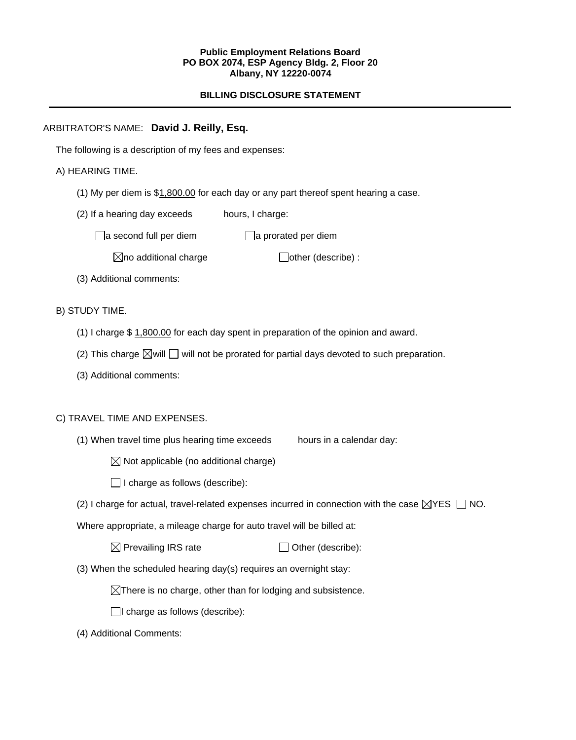### **Public Employment Relations Board PO BOX 2074, ESP Agency Bldg. 2, Floor 20 Albany, NY 12220-0074**

# **BILLING DISCLOSURE STATEMENT**

# ARBITRATOR'S NAME: **David J. Reilly, Esq.**

The following is a description of my fees and expenses:

# A) HEARING TIME.

- (1) My per diem is  $$1,800.00$  for each day or any part thereof spent hearing a case.
- (2) If a hearing day exceeds hours, I charge:

 $\Box$ a second full per diem  $\Box$ a prorated per diem

 $\boxtimes$ no additional charge  $\Box$ other (describe) :

(3) Additional comments:

# B) STUDY TIME.

- (1) I charge \$ 1,800.00 for each day spent in preparation of the opinion and award.
- (2) This charge  $\boxtimes$  will  $\Box$  will not be prorated for partial days devoted to such preparation.
- (3) Additional comments:

### C) TRAVEL TIME AND EXPENSES.

(1) When travel time plus hearing time exceeds hours in a calendar day:

 $\boxtimes$  Not applicable (no additional charge)

 $\Box$  I charge as follows (describe):

(2) I charge for actual, travel-related expenses incurred in connection with the case  $\boxtimes$ YES  $\Box$  NO.

Where appropriate, a mileage charge for auto travel will be billed at:

| $\boxtimes$ Prevailing IRS rate | $\Box$ Other (describe): |
|---------------------------------|--------------------------|
|---------------------------------|--------------------------|

(3) When the scheduled hearing day(s) requires an overnight stay:

 $\boxtimes$ There is no charge, other than for lodging and subsistence.

 $\Box$ I charge as follows (describe):

(4) Additional Comments: